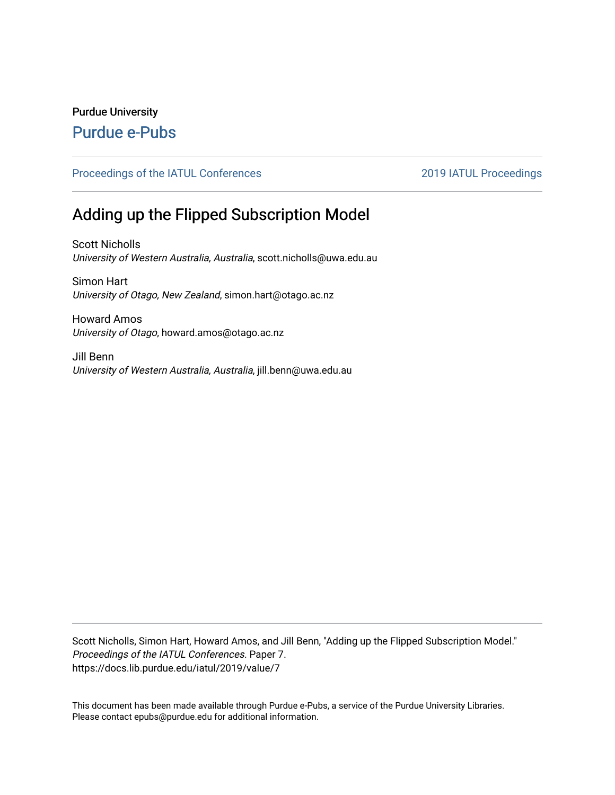# Purdue University

# [Purdue e-Pubs](https://docs.lib.purdue.edu/)

# [Proceedings of the IATUL Conferences](https://docs.lib.purdue.edu/iatul) 2019 2019 IATUL Proceedings

# Adding up the Flipped Subscription Model

Scott Nicholls University of Western Australia, Australia, scott.nicholls@uwa.edu.au

Simon Hart University of Otago, New Zealand, simon.hart@otago.ac.nz

Howard Amos University of Otago, howard.amos@otago.ac.nz

Jill Benn University of Western Australia, Australia, jill.benn@uwa.edu.au

Scott Nicholls, Simon Hart, Howard Amos, and Jill Benn, "Adding up the Flipped Subscription Model." Proceedings of the IATUL Conferences. Paper 7. https://docs.lib.purdue.edu/iatul/2019/value/7

This document has been made available through Purdue e-Pubs, a service of the Purdue University Libraries. Please contact epubs@purdue.edu for additional information.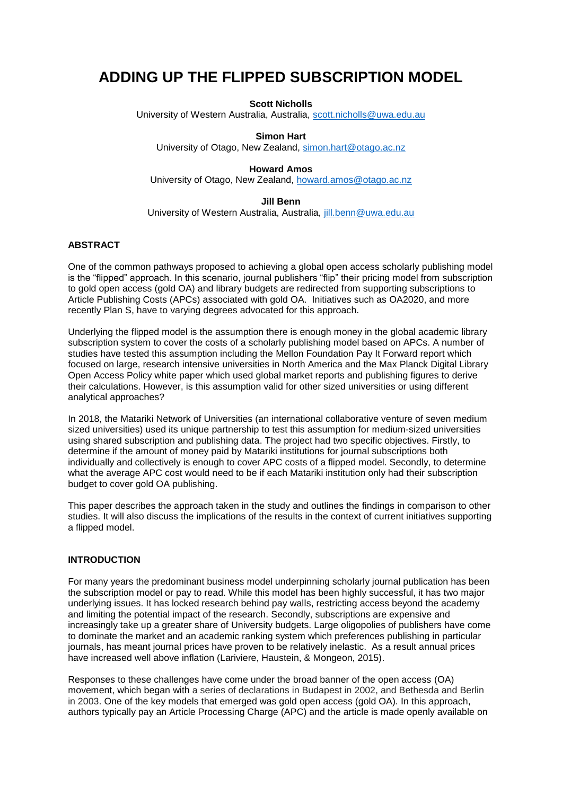# **ADDING UP THE FLIPPED SUBSCRIPTION MODEL**

**Scott Nicholls**

University of Western Australia, Australia, [scott.nicholls@uwa.edu.au](mailto:scott.nicholls@uwa.edu.au)

**Simon Hart**

University of Otago, New Zealand, [simon.hart@otago.ac.nz](mailto:simon.hart@otago.ac.nz)

#### **Howard Amos**

University of Otago, New Zealand, [howard.amos@otago.ac.nz](mailto:howard.amos@otago.ac.nz)

#### **Jill Benn**

University of Western Australia, Australia, [jill.benn@uwa.edu.au](mailto:jill.benn@uwa.edu.au)

### **ABSTRACT**

One of the common pathways proposed to achieving a global open access scholarly publishing model is the "flipped" approach. In this scenario, journal publishers "flip" their pricing model from subscription to gold open access (gold OA) and library budgets are redirected from supporting subscriptions to Article Publishing Costs (APCs) associated with gold OA. Initiatives such as OA2020, and more recently Plan S, have to varying degrees advocated for this approach.

Underlying the flipped model is the assumption there is enough money in the global academic library subscription system to cover the costs of a scholarly publishing model based on APCs. A number of studies have tested this assumption including the Mellon Foundation Pay It Forward report which focused on large, research intensive universities in North America and the Max Planck Digital Library Open Access Policy white paper which used global market reports and publishing figures to derive their calculations. However, is this assumption valid for other sized universities or using different analytical approaches?

In 2018, the Matariki Network of Universities (an international collaborative venture of seven medium sized universities) used its unique partnership to test this assumption for medium-sized universities using shared subscription and publishing data. The project had two specific objectives. Firstly, to determine if the amount of money paid by Matariki institutions for journal subscriptions both individually and collectively is enough to cover APC costs of a flipped model. Secondly, to determine what the average APC cost would need to be if each Matariki institution only had their subscription budget to cover gold OA publishing.

This paper describes the approach taken in the study and outlines the findings in comparison to other studies. It will also discuss the implications of the results in the context of current initiatives supporting a flipped model.

## **INTRODUCTION**

For many years the predominant business model underpinning scholarly journal publication has been the subscription model or pay to read. While this model has been highly successful, it has two major underlying issues. It has locked research behind pay walls, restricting access beyond the academy and limiting the potential impact of the research. Secondly, subscriptions are expensive and increasingly take up a greater share of University budgets. Large oligopolies of publishers have come to dominate the market and an academic ranking system which preferences publishing in particular journals, has meant journal prices have proven to be relatively inelastic. As a result annual prices have increased well above inflation (Lariviere, Haustein, & Mongeon, 2015).

Responses to these challenges have come under the broad banner of the open access (OA) movement, which began with a series of declarations in Budapest in 2002, and Bethesda and Berlin in 2003. One of the key models that emerged was gold open access (gold OA). In this approach, authors typically pay an Article Processing Charge (APC) and the article is made openly available on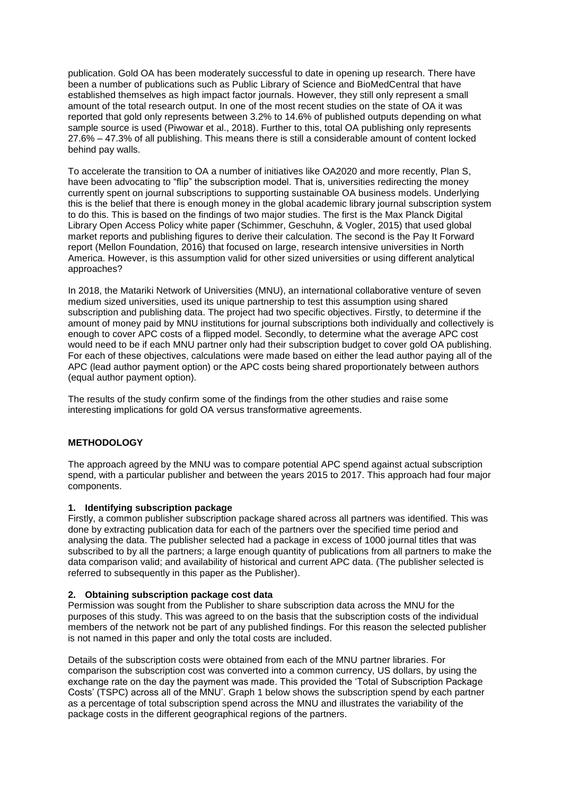publication. Gold OA has been moderately successful to date in opening up research. There have been a number of publications such as Public Library of Science and BioMedCentral that have established themselves as high impact factor journals. However, they still only represent a small amount of the total research output. In one of the most recent studies on the state of OA it was reported that gold only represents between 3.2% to 14.6% of published outputs depending on what sample source is used (Piwowar et al., 2018). Further to this, total OA publishing only represents 27.6% – 47.3% of all publishing. This means there is still a considerable amount of content locked behind pay walls.

To accelerate the transition to OA a number of initiatives like OA2020 and more recently, Plan S, have been advocating to "flip" the subscription model. That is, universities redirecting the money currently spent on journal subscriptions to supporting sustainable OA business models. Underlying this is the belief that there is enough money in the global academic library journal subscription system to do this. This is based on the findings of two major studies. The first is the Max Planck Digital Library Open Access Policy white paper (Schimmer, Geschuhn, & Vogler, 2015) that used global market reports and publishing figures to derive their calculation. The second is the Pay It Forward report (Mellon Foundation, 2016) that focused on large, research intensive universities in North America. However, is this assumption valid for other sized universities or using different analytical approaches?

In 2018, the Matariki Network of Universities (MNU), an international collaborative venture of seven medium sized universities, used its unique partnership to test this assumption using shared subscription and publishing data. The project had two specific objectives. Firstly, to determine if the amount of money paid by MNU institutions for journal subscriptions both individually and collectively is enough to cover APC costs of a flipped model. Secondly, to determine what the average APC cost would need to be if each MNU partner only had their subscription budget to cover gold OA publishing. For each of these objectives, calculations were made based on either the lead author paying all of the APC (lead author payment option) or the APC costs being shared proportionately between authors (equal author payment option).

The results of the study confirm some of the findings from the other studies and raise some interesting implications for gold OA versus transformative agreements.

### **METHODOLOGY**

The approach agreed by the MNU was to compare potential APC spend against actual subscription spend, with a particular publisher and between the years 2015 to 2017. This approach had four major components.

#### **1. Identifying subscription package**

Firstly, a common publisher subscription package shared across all partners was identified. This was done by extracting publication data for each of the partners over the specified time period and analysing the data. The publisher selected had a package in excess of 1000 journal titles that was subscribed to by all the partners; a large enough quantity of publications from all partners to make the data comparison valid; and availability of historical and current APC data. (The publisher selected is referred to subsequently in this paper as the Publisher).

#### **2. Obtaining subscription package cost data**

Permission was sought from the Publisher to share subscription data across the MNU for the purposes of this study. This was agreed to on the basis that the subscription costs of the individual members of the network not be part of any published findings. For this reason the selected publisher is not named in this paper and only the total costs are included.

Details of the subscription costs were obtained from each of the MNU partner libraries. For comparison the subscription cost was converted into a common currency, US dollars, by using the exchange rate on the day the payment was made. This provided the 'Total of Subscription Package Costs' (TSPC) across all of the MNU'. Graph 1 below shows the subscription spend by each partner as a percentage of total subscription spend across the MNU and illustrates the variability of the package costs in the different geographical regions of the partners.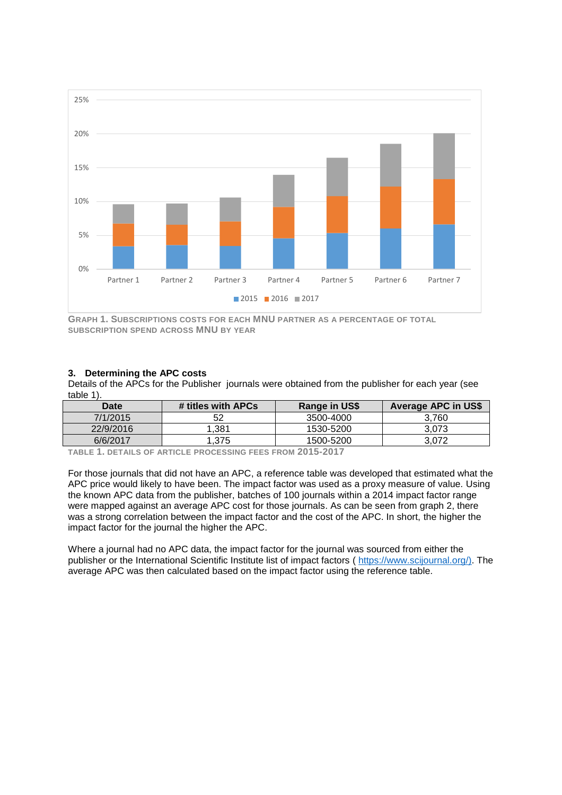

**GRAPH 1. SUBSCRIPTIONS COSTS FOR EACH MNU PARTNER AS A PERCENTAGE OF TOTAL SUBSCRIPTION SPEND ACROSS MNU BY YEAR**

### **3. Determining the APC costs**

Details of the APCs for the Publisher journals were obtained from the publisher for each year (see table 1).

| Date      | # titles with APCs | Range in US\$ | <b>Average APC in US\$</b> |
|-----------|--------------------|---------------|----------------------------|
| 7/1/2015  |                    | 3500-4000     | 3.760                      |
| 22/9/2016 | .381               | 1530-5200     | 3.073                      |
| 6/6/2017  | .375               | 1500-5200     | 3.072                      |

**TABLE 1. DETAILS OF ARTICLE PROCESSING FEES FROM 2015-2017**

For those journals that did not have an APC, a reference table was developed that estimated what the APC price would likely to have been. The impact factor was used as a proxy measure of value. Using the known APC data from the publisher, batches of 100 journals within a 2014 impact factor range were mapped against an average APC cost for those journals. As can be seen from graph 2, there was a strong correlation between the impact factor and the cost of the APC. In short, the higher the impact factor for the journal the higher the APC.

Where a journal had no APC data, the impact factor for the journal was sourced from either the publisher or the International Scientific Institute list of impact factors ( [https://www.scijournal.org/\)](https://www.scijournal.org/). The average APC was then calculated based on the impact factor using the reference table.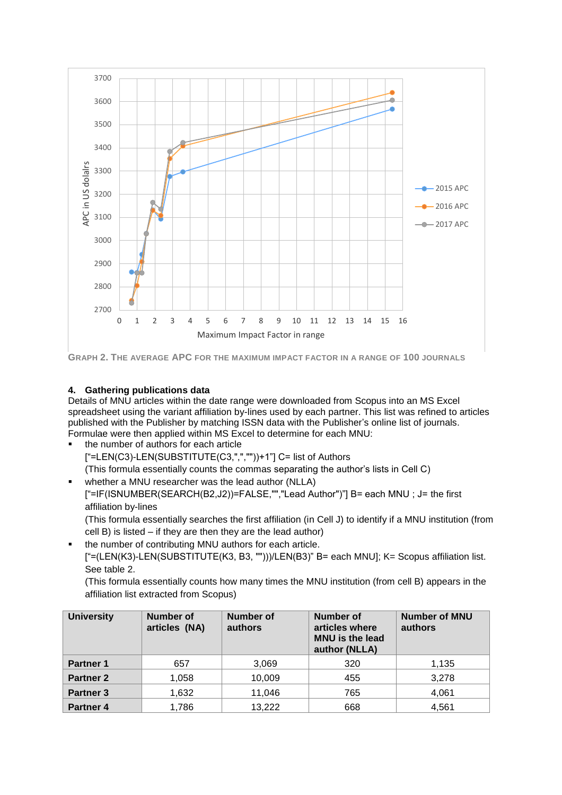

**GRAPH 2. THE AVERAGE APC FOR THE MAXIMUM IMPACT FACTOR IN A RANGE OF 100 JOURNALS**

# **4. Gathering publications data**

Details of MNU articles within the date range were downloaded from Scopus into an MS Excel spreadsheet using the variant affiliation by-lines used by each partner. This list was refined to articles published with the Publisher by matching ISSN data with the Publisher's online list of journals. Formulae were then applied within MS Excel to determine for each MNU:

the number of authors for each article ["=LEN(C3)-LEN(SUBSTITUTE(C3,",",""))+1"] C= list of Authors (This formula essentially counts the commas separating the author's lists in Cell C) whether a MNU researcher was the lead author (NLLA)

["=IF(ISNUMBER(SEARCH(B2,J2))=FALSE,"","Lead Author")"] B= each MNU ; J= the first affiliation by-lines

(This formula essentially searches the first affiliation (in Cell J) to identify if a MNU institution (from cell B) is listed – if they are then they are the lead author)

the number of contributing MNU authors for each article.

["=(LEN(K3)-LEN(SUBSTITUTE(K3, B3, "")))/LEN(B3)" B= each MNU]; K= Scopus affiliation list. See table 2.

(This formula essentially counts how many times the MNU institution (from cell B) appears in the affiliation list extracted from Scopus)

| <b>University</b>    | <b>Number of</b><br>articles (NA) | <b>Number</b> of<br>authors | Number of<br>articles where<br><b>MNU</b> is the lead<br>author (NLLA) | <b>Number of MNU</b><br>authors |
|----------------------|-----------------------------------|-----------------------------|------------------------------------------------------------------------|---------------------------------|
| <b>Partner 1</b>     | 657                               | 3,069                       | 320                                                                    | 1,135                           |
| <b>Partner 2</b>     | 1,058                             | 10,009                      | 455                                                                    | 3,278                           |
| <b>Partner 3</b>     | 1,632                             | 11,046                      | 765                                                                    | 4,061                           |
| Partner <sub>4</sub> | 1,786                             | 13,222                      | 668                                                                    | 4,561                           |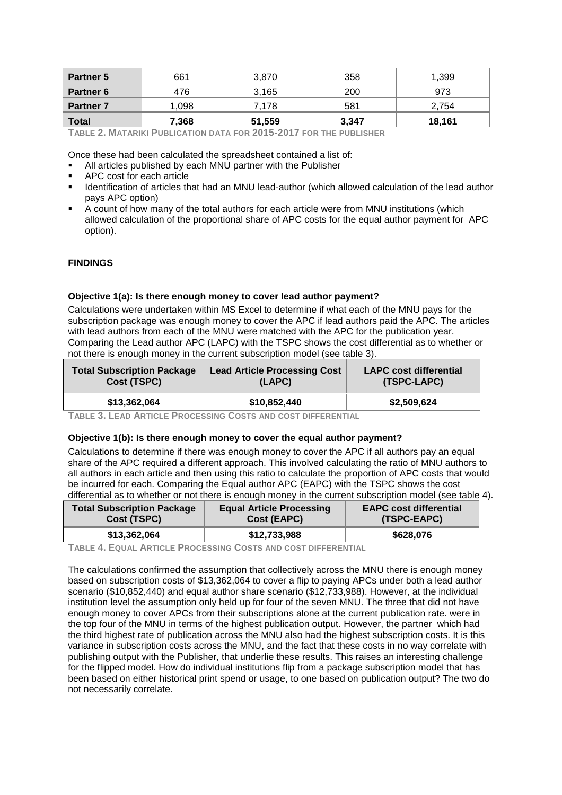| <b>Partner 5</b> | 661   | 3.870  | 358   | 1.399  |
|------------------|-------|--------|-------|--------|
| <b>Partner 6</b> | 476   | 3.165  | 200   | 973    |
| <b>Partner 7</b> | 1,098 | 7.178  | 581   | 2.754  |
| <b>Total</b>     | 7,368 | 51,559 | 3,347 | 18,161 |

**TABLE 2. MATARIKI PUBLICATION DATA FOR 2015-2017 FOR THE PUBLISHER** 

Once these had been calculated the spreadsheet contained a list of:

- All articles published by each MNU partner with the Publisher
- APC cost for each article
- **■** Identification of articles that had an MNU lead-author (which allowed calculation of the lead author pays APC option)
- A count of how many of the total authors for each article were from MNU institutions (which allowed calculation of the proportional share of APC costs for the equal author payment for APC option).

### **FINDINGS**

#### **Objective 1(a): Is there enough money to cover lead author payment?**

Calculations were undertaken within MS Excel to determine if what each of the MNU pays for the subscription package was enough money to cover the APC if lead authors paid the APC. The articles with lead authors from each of the MNU were matched with the APC for the publication year. Comparing the Lead author APC (LAPC) with the TSPC shows the cost differential as to whether or not there is enough money in the current subscription model (see table 3).

| <b>Total Subscription Package</b> | <b>Lead Article Processing Cost</b> | <b>LAPC cost differential</b> |  |
|-----------------------------------|-------------------------------------|-------------------------------|--|
| Cost (TSPC)                       | (LAPC)                              | (TSPC-LAPC)                   |  |
| \$13,362,064                      | \$10,852,440                        | \$2,509,624                   |  |

**TABLE 3. LEAD ARTICLE PROCESSING COSTS AND COST DIFFERENTIAL**

#### **Objective 1(b): Is there enough money to cover the equal author payment?**

Calculations to determine if there was enough money to cover the APC if all authors pay an equal share of the APC required a different approach. This involved calculating the ratio of MNU authors to all authors in each article and then using this ratio to calculate the proportion of APC costs that would be incurred for each. Comparing the Equal author APC (EAPC) with the TSPC shows the cost differential as to whether or not there is enough money in the current subscription model (see table 4).

| <b>Total Subscription Package</b> | <b>Equal Article Processing</b> | <b>EAPC cost differential</b> |
|-----------------------------------|---------------------------------|-------------------------------|
| Cost (TSPC)                       | Cost (EAPC)                     | (TSPC-EAPC)                   |
| \$13,362,064                      | \$12,733,988                    | \$628,076                     |

**TABLE 4. EQUAL ARTICLE PROCESSING COSTS AND COST DIFFERENTIAL**

The calculations confirmed the assumption that collectively across the MNU there is enough money based on subscription costs of \$13,362,064 to cover a flip to paying APCs under both a lead author scenario (\$10,852,440) and equal author share scenario (\$12,733,988). However, at the individual institution level the assumption only held up for four of the seven MNU. The three that did not have enough money to cover APCs from their subscriptions alone at the current publication rate. were in the top four of the MNU in terms of the highest publication output. However, the partner which had the third highest rate of publication across the MNU also had the highest subscription costs. It is this variance in subscription costs across the MNU, and the fact that these costs in no way correlate with publishing output with the Publisher, that underlie these results. This raises an interesting challenge for the flipped model. How do individual institutions flip from a package subscription model that has been based on either historical print spend or usage, to one based on publication output? The two do not necessarily correlate.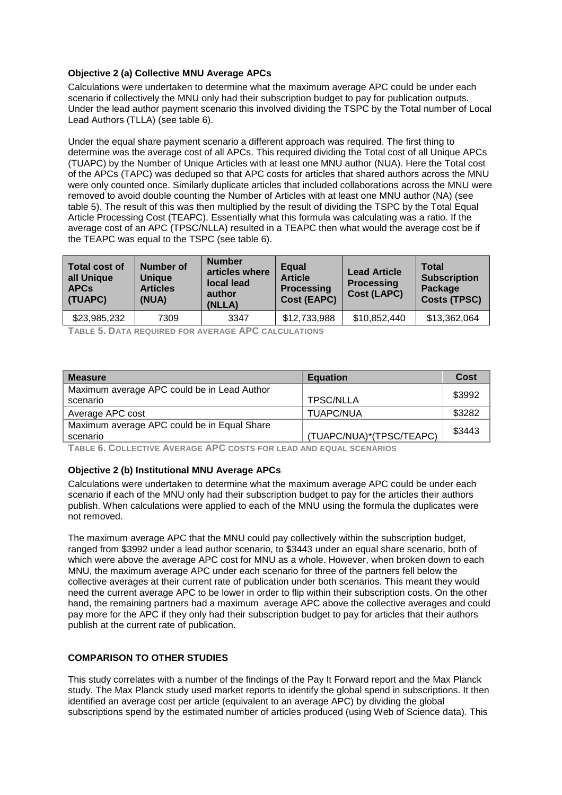# **Objective 2 (a) Collective MNU Average APCs**

Calculations were undertaken to determine what the maximum average APC could be under each scenario if collectively the MNU only had their subscription budget to pay for publication outputs. Under the lead author payment scenario this involved dividing the TSPC by the Total number of Local Lead Authors (TLLA) (see table 6).

Under the equal share payment scenario a different approach was required. The first thing to determine was the average cost of all APCs. This required dividing the Total cost of all Unique APCs (TUAPC) by the Number of Unique Articles with at least one MNU author (NUA). Here the Total cost of the APCs (TAPC) was deduped so that APC costs for articles that shared authors across the MNU were only counted once. Similarly duplicate articles that included collaborations across the MNU were removed to avoid double counting the Number of Articles with at least one MNU author (NA) (see table 5). The result of this was then multiplied by the result of dividing the TSPC by the Total Equal Article Processing Cost (TEAPC). Essentially what this formula was calculating was a ratio. If the average cost of an APC (TPSC/NLLA) resulted in a TEAPC then what would the average cost be if the TEAPC was equal to the TSPC (see table 6).

| <b>Total cost of</b><br>all Unique<br><b>APCs</b><br>(TUAPC) | <b>Number of</b><br><b>Unique</b><br><b>Articles</b><br>(NUA) | <b>Number</b><br>articles where<br>local lead<br>author<br>(NLLA) | Equal<br><b>Article</b><br><b>Processing</b><br><b>Cost (EAPC)</b> | <b>Lead Article</b><br><b>Processing</b><br><b>Cost (LAPC)</b> | <b>Total</b><br><b>Subscription</b><br>Package<br><b>Costs (TPSC)</b> |
|--------------------------------------------------------------|---------------------------------------------------------------|-------------------------------------------------------------------|--------------------------------------------------------------------|----------------------------------------------------------------|-----------------------------------------------------------------------|
| \$23,985,232                                                 | 7309                                                          | 3347                                                              | \$12,733,988                                                       | \$10,852,440                                                   | \$13,362,064                                                          |

**TABLE 5. DATA REQUIRED FOR AVERAGE APC CALCULATIONS**

| <b>Measure</b>                              | <b>Equation</b>          | Cost   |
|---------------------------------------------|--------------------------|--------|
| Maximum average APC could be in Lead Author |                          | \$3992 |
| scenario                                    | <b>TPSC/NLLA</b>         |        |
| Average APC cost                            | <b>TUAPC/NUA</b>         | \$3282 |
| Maximum average APC could be in Equal Share |                          | \$3443 |
| scenario                                    | (TUAPC/NUA)*(TPSC/TEAPC) |        |

**TABLE 6. COLLECTIVE AVERAGE APC COSTS FOR LEAD AND EQUAL SCENARIOS**

## **Objective 2 (b) Institutional MNU Average APCs**

Calculations were undertaken to determine what the maximum average APC could be under each scenario if each of the MNU only had their subscription budget to pay for the articles their authors publish. When calculations were applied to each of the MNU using the formula the duplicates were not removed.

The maximum average APC that the MNU could pay collectively within the subscription budget, ranged from \$3992 under a lead author scenario, to \$3443 under an equal share scenario, both of which were above the average APC cost for MNU as a whole. However, when broken down to each MNU, the maximum average APC under each scenario for three of the partners fell below the collective averages at their current rate of publication under both scenarios. This meant they would need the current average APC to be lower in order to flip within their subscription costs. On the other hand, the remaining partners had a maximum average APC above the collective averages and could pay more for the APC if they only had their subscription budget to pay for articles that their authors publish at the current rate of publication.

# **COMPARISON TO OTHER STUDIES**

This study correlates with a number of the findings of the Pay It Forward report and the Max Planck study. The Max Planck study used market reports to identify the global spend in subscriptions. It then identified an average cost per article (equivalent to an average APC) by dividing the global subscriptions spend by the estimated number of articles produced (using Web of Science data). This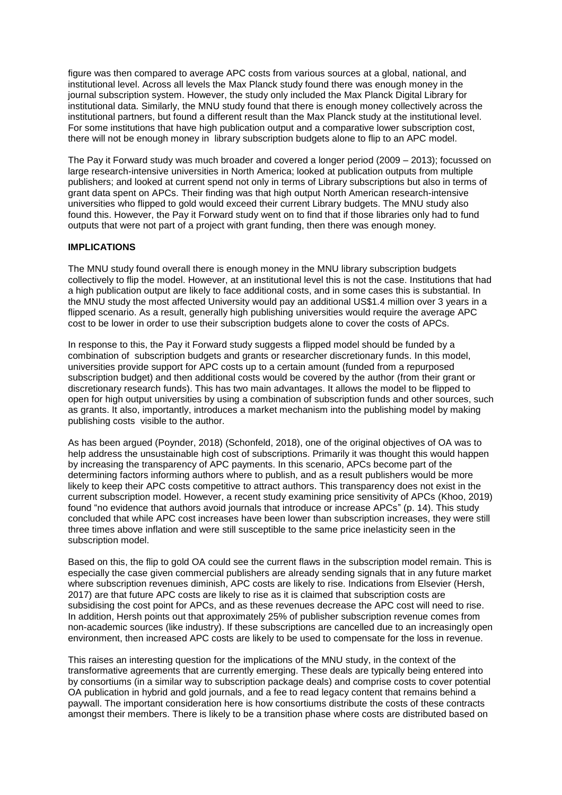figure was then compared to average APC costs from various sources at a global, national, and institutional level. Across all levels the Max Planck study found there was enough money in the journal subscription system. However, the study only included the Max Planck Digital Library for institutional data. Similarly, the MNU study found that there is enough money collectively across the institutional partners, but found a different result than the Max Planck study at the institutional level. For some institutions that have high publication output and a comparative lower subscription cost, there will not be enough money in library subscription budgets alone to flip to an APC model.

The Pay it Forward study was much broader and covered a longer period (2009 – 2013); focussed on large research-intensive universities in North America; looked at publication outputs from multiple publishers; and looked at current spend not only in terms of Library subscriptions but also in terms of grant data spent on APCs. Their finding was that high output North American research-intensive universities who flipped to gold would exceed their current Library budgets. The MNU study also found this. However, the Pay it Forward study went on to find that if those libraries only had to fund outputs that were not part of a project with grant funding, then there was enough money.

#### **IMPLICATIONS**

The MNU study found overall there is enough money in the MNU library subscription budgets collectively to flip the model. However, at an institutional level this is not the case. Institutions that had a high publication output are likely to face additional costs, and in some cases this is substantial. In the MNU study the most affected University would pay an additional US\$1.4 million over 3 years in a flipped scenario. As a result, generally high publishing universities would require the average APC cost to be lower in order to use their subscription budgets alone to cover the costs of APCs.

In response to this, the Pay it Forward study suggests a flipped model should be funded by a combination of subscription budgets and grants or researcher discretionary funds. In this model, universities provide support for APC costs up to a certain amount (funded from a repurposed subscription budget) and then additional costs would be covered by the author (from their grant or discretionary research funds). This has two main advantages. It allows the model to be flipped to open for high output universities by using a combination of subscription funds and other sources, such as grants. It also, importantly, introduces a market mechanism into the publishing model by making publishing costs visible to the author.

As has been argued (Poynder, 2018) (Schonfeld, 2018), one of the original objectives of OA was to help address the unsustainable high cost of subscriptions. Primarily it was thought this would happen by increasing the transparency of APC payments. In this scenario, APCs become part of the determining factors informing authors where to publish, and as a result publishers would be more likely to keep their APC costs competitive to attract authors. This transparency does not exist in the current subscription model. However, a recent study examining price sensitivity of APCs (Khoo, 2019) found "no evidence that authors avoid journals that introduce or increase APCs" (p. 14). This study concluded that while APC cost increases have been lower than subscription increases, they were still three times above inflation and were still susceptible to the same price inelasticity seen in the subscription model.

Based on this, the flip to gold OA could see the current flaws in the subscription model remain. This is especially the case given commercial publishers are already sending signals that in any future market where subscription revenues diminish, APC costs are likely to rise. Indications from Elsevier (Hersh, 2017) are that future APC costs are likely to rise as it is claimed that subscription costs are subsidising the cost point for APCs, and as these revenues decrease the APC cost will need to rise. In addition, Hersh points out that approximately 25% of publisher subscription revenue comes from non-academic sources (like industry). If these subscriptions are cancelled due to an increasingly open environment, then increased APC costs are likely to be used to compensate for the loss in revenue.

This raises an interesting question for the implications of the MNU study, in the context of the transformative agreements that are currently emerging. These deals are typically being entered into by consortiums (in a similar way to subscription package deals) and comprise costs to cover potential OA publication in hybrid and gold journals, and a fee to read legacy content that remains behind a paywall. The important consideration here is how consortiums distribute the costs of these contracts amongst their members. There is likely to be a transition phase where costs are distributed based on